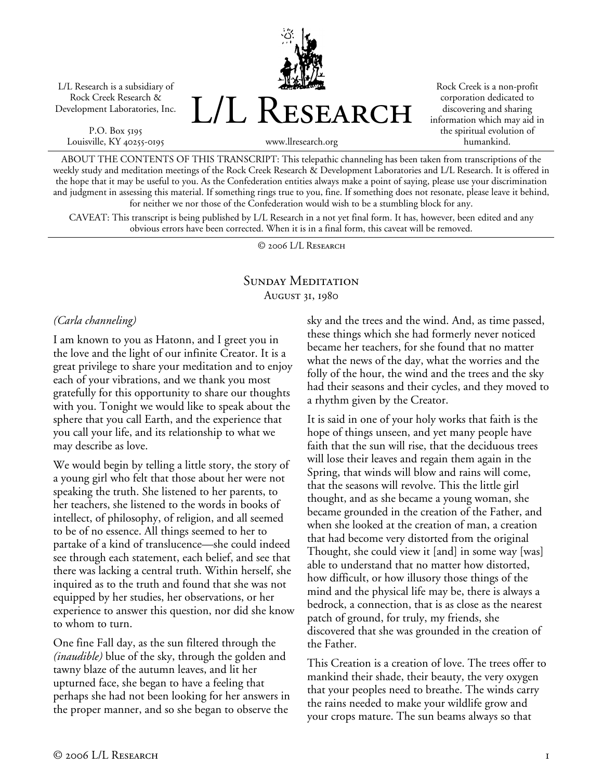L/L Research is a subsidiary of Rock Creek Research & Development Laboratories, Inc.

P.O. Box 5195 Louisville, KY 40255-0195 L/L Research

Rock Creek is a non-profit corporation dedicated to discovering and sharing information which may aid in the spiritual evolution of humankind.

www.llresearch.org

ABOUT THE CONTENTS OF THIS TRANSCRIPT: This telepathic channeling has been taken from transcriptions of the weekly study and meditation meetings of the Rock Creek Research & Development Laboratories and L/L Research. It is offered in the hope that it may be useful to you. As the Confederation entities always make a point of saying, please use your discrimination and judgment in assessing this material. If something rings true to you, fine. If something does not resonate, please leave it behind, for neither we nor those of the Confederation would wish to be a stumbling block for any.

CAVEAT: This transcript is being published by L/L Research in a not yet final form. It has, however, been edited and any obvious errors have been corrected. When it is in a final form, this caveat will be removed.

© 2006 L/L Research

## SUNDAY MEDITATION August 31, 1980

#### *(Carla channeling)*

I am known to you as Hatonn, and I greet you in the love and the light of our infinite Creator. It is a great privilege to share your meditation and to enjoy each of your vibrations, and we thank you most gratefully for this opportunity to share our thoughts with you. Tonight we would like to speak about the sphere that you call Earth, and the experience that you call your life, and its relationship to what we may describe as love.

We would begin by telling a little story, the story of a young girl who felt that those about her were not speaking the truth. She listened to her parents, to her teachers, she listened to the words in books of intellect, of philosophy, of religion, and all seemed to be of no essence. All things seemed to her to partake of a kind of translucence—she could indeed see through each statement, each belief, and see that there was lacking a central truth. Within herself, she inquired as to the truth and found that she was not equipped by her studies, her observations, or her experience to answer this question, nor did she know to whom to turn.

One fine Fall day, as the sun filtered through the *(inaudible)* blue of the sky, through the golden and tawny blaze of the autumn leaves, and lit her upturned face, she began to have a feeling that perhaps she had not been looking for her answers in the proper manner, and so she began to observe the

sky and the trees and the wind. And, as time passed, these things which she had formerly never noticed became her teachers, for she found that no matter what the news of the day, what the worries and the folly of the hour, the wind and the trees and the sky had their seasons and their cycles, and they moved to a rhythm given by the Creator.

It is said in one of your holy works that faith is the hope of things unseen, and yet many people have faith that the sun will rise, that the deciduous trees will lose their leaves and regain them again in the Spring, that winds will blow and rains will come, that the seasons will revolve. This the little girl thought, and as she became a young woman, she became grounded in the creation of the Father, and when she looked at the creation of man, a creation that had become very distorted from the original Thought, she could view it [and] in some way [was] able to understand that no matter how distorted, how difficult, or how illusory those things of the mind and the physical life may be, there is always a bedrock, a connection, that is as close as the nearest patch of ground, for truly, my friends, she discovered that she was grounded in the creation of the Father.

This Creation is a creation of love. The trees offer to mankind their shade, their beauty, the very oxygen that your peoples need to breathe. The winds carry the rains needed to make your wildlife grow and your crops mature. The sun beams always so that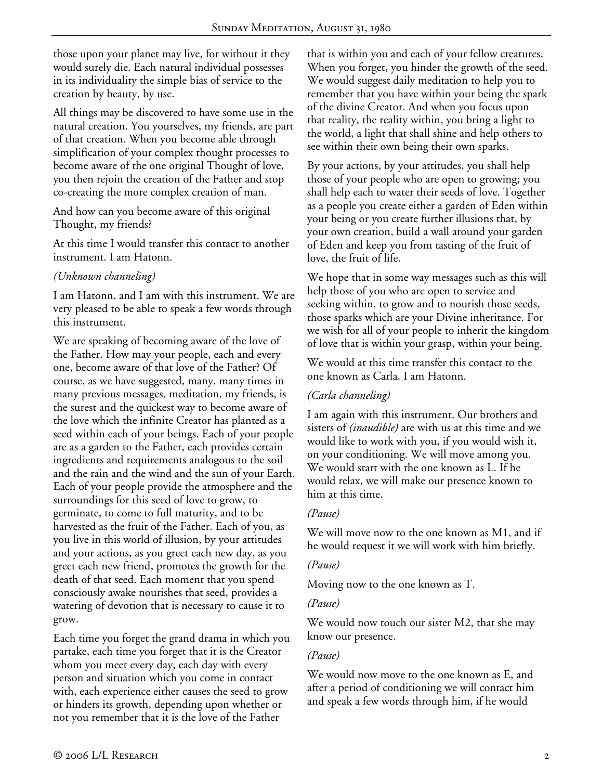those upon your planet may live, for without it they would surely die. Each natural individual possesses in its individuality the simple bias of service to the creation by beauty, by use.

All things may be discovered to have some use in the natural creation. You yourselves, my friends, are part of that creation. When you become able through simplification of your complex thought processes to become aware of the one original Thought of love, you then rejoin the creation of the Father and stop co-creating the more complex creation of man.

And how can you become aware of this original Thought, my friends?

At this time I would transfer this contact to another instrument. I am Hatonn.

## *(Unknown channeling)*

I am Hatonn, and I am with this instrument. We are very pleased to be able to speak a few words through this instrument.

We are speaking of becoming aware of the love of the Father. How may your people, each and every one, become aware of that love of the Father? Of course, as we have suggested, many, many times in many previous messages, meditation, my friends, is the surest and the quickest way to become aware of the love which the infinite Creator has planted as a seed within each of your beings. Each of your people are as a garden to the Father, each provides certain ingredients and requirements analogous to the soil and the rain and the wind and the sun of your Earth. Each of your people provide the atmosphere and the surroundings for this seed of love to grow, to germinate, to come to full maturity, and to be harvested as the fruit of the Father. Each of you, as you live in this world of illusion, by your attitudes and your actions, as you greet each new day, as you greet each new friend, promotes the growth for the death of that seed. Each moment that you spend consciously awake nourishes that seed, provides a watering of devotion that is necessary to cause it to grow.

Each time you forget the grand drama in which you partake, each time you forget that it is the Creator whom you meet every day, each day with every person and situation which you come in contact with, each experience either causes the seed to grow or hinders its growth, depending upon whether or not you remember that it is the love of the Father

that is within you and each of your fellow creatures. When you forget, you hinder the growth of the seed. We would suggest daily meditation to help you to remember that you have within your being the spark of the divine Creator. And when you focus upon that reality, the reality within, you bring a light to the world, a light that shall shine and help others to see within their own being their own sparks.

By your actions, by your attitudes, you shall help those of your people who are open to growing; you shall help each to water their seeds of love. Together as a people you create either a garden of Eden within your being or you create further illusions that, by your own creation, build a wall around your garden of Eden and keep you from tasting of the fruit of love, the fruit of life.

We hope that in some way messages such as this will help those of you who are open to service and seeking within, to grow and to nourish those seeds, those sparks which are your Divine inheritance. For we wish for all of your people to inherit the kingdom of love that is within your grasp, within your being.

We would at this time transfer this contact to the one known as Carla. I am Hatonn.

#### *(Carla channeling)*

I am again with this instrument. Our brothers and sisters of *(inaudible)* are with us at this time and we would like to work with you, if you would wish it, on your conditioning. We will move among you. We would start with the one known as L. If he would relax, we will make our presence known to him at this time.

#### *(Pause)*

We will move now to the one known as M1, and if he would request it we will work with him briefly.

#### *(Pause)*

Moving now to the one known as T.

#### *(Pause)*

We would now touch our sister M2, that she may know our presence.

#### *(Pause)*

We would now move to the one known as E, and after a period of conditioning we will contact him and speak a few words through him, if he would